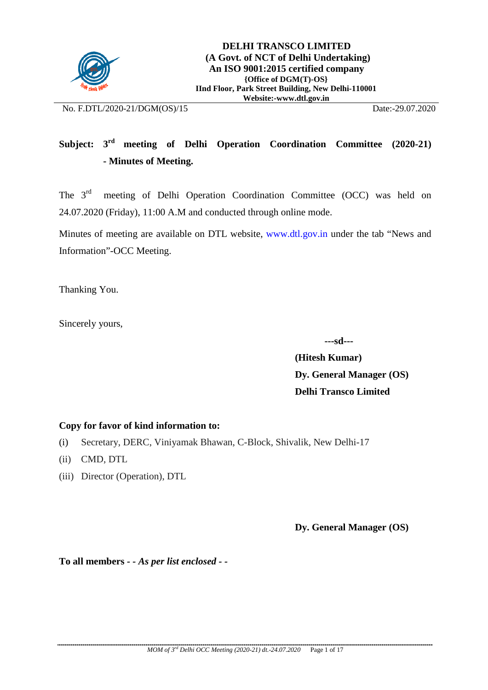

No. F.DTL/2020-21/DGM(OS)/15 Date:-29.07.2020

# **Subject: 3rd meeting of Delhi Operation Coordination Committee (2020-21) - Minutes of Meeting.**

The 3<sup>rd</sup> meeting of Delhi Operation Coordination Committee (OCC) was held on 24.07.2020 (Friday), 11:00 A.M and conducted through online mode.

Minutes of meeting are available on DTL website, [www.dtl.gov.in](http://www.dtl.gov.in/) under the tab "News and Information"-OCC Meeting.

Thanking You.

Sincerely yours,

 **---sd---**

**(Hitesh Kumar) Dy. General Manager (OS) Delhi Transco Limited**

#### **Copy for favor of kind information to:**

- (i) Secretary, DERC, Viniyamak Bhawan, C-Block, Shivalik, New Delhi-17
- (ii) CMD, DTL
- (iii) Director (Operation), DTL

**Dy. General Manager (OS)**

**To all members** *- - As per list enclosed - -*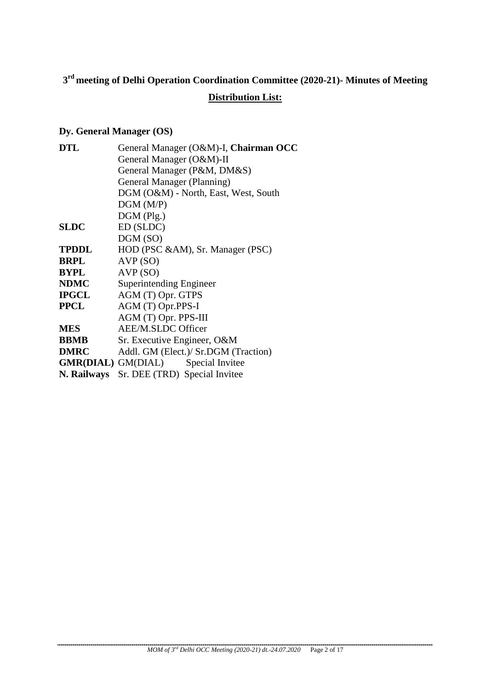# **3rd meeting of Delhi Operation Coordination Committee (2020-21)- Minutes of Meeting**

# **Distribution List:**

# **Dy. General Manager (OS)**

| <b>DTL</b>   | General Manager (O&M)-I, Chairman OCC     |  |  |  |  |
|--------------|-------------------------------------------|--|--|--|--|
|              | General Manager (O&M)-II                  |  |  |  |  |
|              | General Manager (P&M, DM&S)               |  |  |  |  |
|              | General Manager (Planning)                |  |  |  |  |
|              | DGM (O&M) - North, East, West, South      |  |  |  |  |
|              | DGM(M/P)                                  |  |  |  |  |
|              | $DGM$ (Plg.)                              |  |  |  |  |
| <b>SLDC</b>  | ED (SLDC)                                 |  |  |  |  |
|              | DGM (SO)                                  |  |  |  |  |
| <b>TPDDL</b> | HOD (PSC &AM), Sr. Manager (PSC)          |  |  |  |  |
| <b>BRPL</b>  | AVP(SO)                                   |  |  |  |  |
| <b>BYPL</b>  | AVP(SO)                                   |  |  |  |  |
| <b>NDMC</b>  | Superintending Engineer                   |  |  |  |  |
| <b>IPGCL</b> | AGM (T) Opr. GTPS                         |  |  |  |  |
| <b>PPCL</b>  | AGM (T) Opr.PPS-I                         |  |  |  |  |
|              | AGM (T) Opr. PPS-III                      |  |  |  |  |
| <b>MES</b>   | <b>AEE/M.SLDC Officer</b>                 |  |  |  |  |
| <b>BBMB</b>  | Sr. Executive Engineer, O&M               |  |  |  |  |
| <b>DMRC</b>  | Addl. GM (Elect.)/ Sr.DGM (Traction)      |  |  |  |  |
|              | <b>GMR(DIAL)</b> GM(DIAL) Special Invitee |  |  |  |  |
|              | N. Railways Sr. DEE (TRD) Special Invitee |  |  |  |  |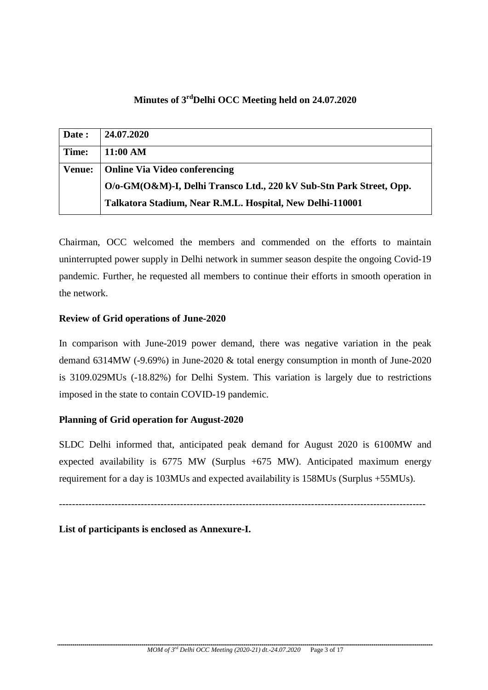# **Minutes of 3rdDelhi OCC Meeting held on 24.07.2020**

| Date:         | 24.07.2020                                                          |
|---------------|---------------------------------------------------------------------|
| Time:         | 11:00 AM                                                            |
| <b>Venue:</b> | <b>Online Via Video conferencing</b>                                |
|               | O/o-GM(O&M)-I, Delhi Transco Ltd., 220 kV Sub-Stn Park Street, Opp. |
|               | Talkatora Stadium, Near R.M.L. Hospital, New Delhi-110001           |

Chairman, OCC welcomed the members and commended on the efforts to maintain uninterrupted power supply in Delhi network in summer season despite the ongoing Covid-19 pandemic. Further, he requested all members to continue their efforts in smooth operation in the network.

#### **Review of Grid operations of June-2020**

In comparison with June-2019 power demand, there was negative variation in the peak demand 6314MW (-9.69%) in June-2020 & total energy consumption in month of June-2020 is 3109.029MUs (-18.82%) for Delhi System. This variation is largely due to restrictions imposed in the state to contain COVID-19 pandemic.

# **Planning of Grid operation for August-2020**

SLDC Delhi informed that, anticipated peak demand for August 2020 is 6100MW and expected availability is  $6775$  MW (Surplus  $+675$  MW). Anticipated maximum energy requirement for a day is 103MUs and expected availability is 158MUs (Surplus +55MUs).

----------------------------------------------------------------------------------------------------------------

# **List of participants is enclosed as Annexure-I.**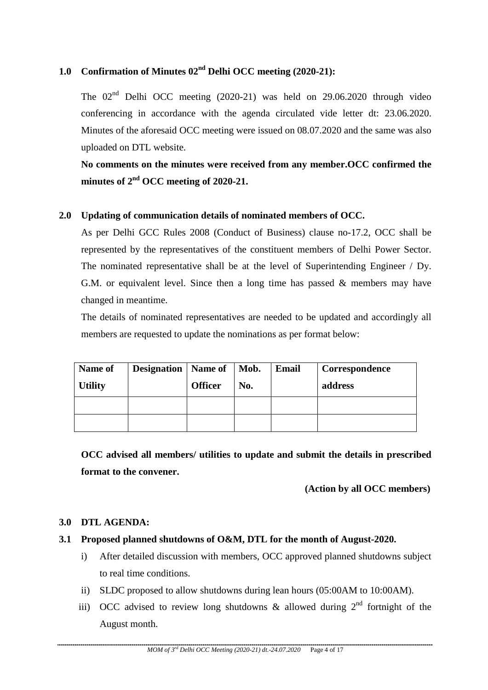# **1.0 Confirmation of Minutes 02nd Delhi OCC meeting (2020-21):**

The  $02<sup>nd</sup>$  Delhi OCC meeting (2020-21) was held on 29.06.2020 through video conferencing in accordance with the agenda circulated vide letter dt: 23.06.2020. Minutes of the aforesaid OCC meeting were issued on 08.07.2020 and the same was also uploaded on DTL website.

**No comments on the minutes were received from any member.OCC confirmed the minutes of 2nd OCC meeting of 2020-21.**

#### **2.0 Updating of communication details of nominated members of OCC.**

As per Delhi GCC Rules 2008 (Conduct of Business) clause no-17.2, OCC shall be represented by the representatives of the constituent members of Delhi Power Sector. The nominated representative shall be at the level of Superintending Engineer / Dy. G.M. or equivalent level. Since then a long time has passed & members may have changed in meantime.

The details of nominated representatives are needed to be updated and accordingly all members are requested to update the nominations as per format below:

| Name of<br><b>Utility</b> | Designation   Name of   Mob. | <b>Officer</b> | No. | <b>Email</b> | Correspondence<br>address |
|---------------------------|------------------------------|----------------|-----|--------------|---------------------------|
|                           |                              |                |     |              |                           |
|                           |                              |                |     |              |                           |

**OCC advised all members/ utilities to update and submit the details in prescribed format to the convener.**

#### **(Action by all OCC members)**

#### **3.0 DTL AGENDA:**

- **3.1 Proposed planned shutdowns of O&M, DTL for the month of August-2020.**
	- i) After detailed discussion with members, OCC approved planned shutdowns subject to real time conditions.
	- ii) SLDC proposed to allow shutdowns during lean hours (05:00AM to 10:00AM).
	- iii) OCC advised to review long shutdowns & allowed during  $2<sup>nd</sup>$  fortnight of the August month.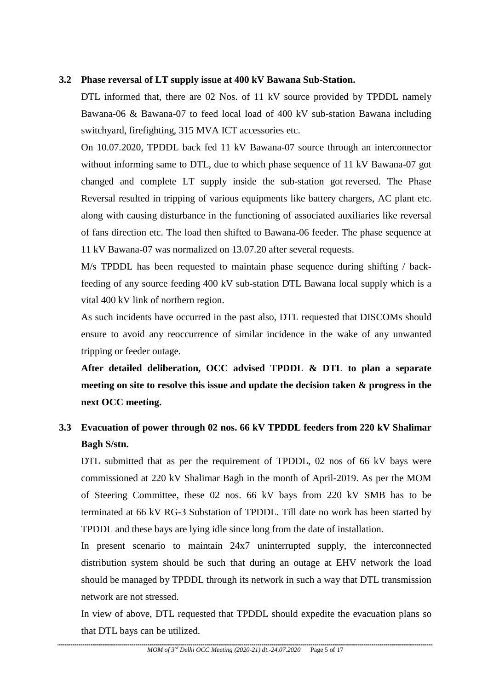#### **3.2 Phase reversal of LT supply issue at 400 kV Bawana Sub-Station.**

DTL informed that, there are 02 Nos. of 11 kV source provided by TPDDL namely Bawana-06 & Bawana-07 to feed local load of 400 kV sub-station Bawana including switchyard, firefighting, 315 MVA ICT accessories etc.

On 10.07.2020, TPDDL back fed 11 kV Bawana-07 source through an interconnector without informing same to DTL, due to which phase sequence of 11 kV Bawana-07 got changed and complete LT supply inside the sub-station got reversed. The Phase Reversal resulted in tripping of various equipments like battery chargers, AC plant etc. along with causing disturbance in the functioning of associated auxiliaries like reversal of fans direction etc. The load then shifted to Bawana-06 feeder. The phase sequence at 11 kV Bawana-07 was normalized on 13.07.20 after several requests.

M/s TPDDL has been requested to maintain phase sequence during shifting / backfeeding of any source feeding 400 kV sub-station DTL Bawana local supply which is a vital 400 kV link of northern region.

As such incidents have occurred in the past also, DTL requested that DISCOMs should ensure to avoid any reoccurrence of similar incidence in the wake of any unwanted tripping or feeder outage.

**After detailed deliberation, OCC advised TPDDL & DTL to plan a separate meeting on site to resolve this issue and update the decision taken & progress in the next OCC meeting.**

# **3.3 Evacuation of power through 02 nos. 66 kV TPDDL feeders from 220 kV Shalimar Bagh S/stn.**

DTL submitted that as per the requirement of TPDDL, 02 nos of 66 kV bays were commissioned at 220 kV Shalimar Bagh in the month of April-2019. As per the MOM of Steering Committee, these 02 nos. 66 kV bays from 220 kV SMB has to be terminated at 66 kV RG-3 Substation of TPDDL. Till date no work has been started by TPDDL and these bays are lying idle since long from the date of installation.

In present scenario to maintain 24x7 uninterrupted supply, the interconnected distribution system should be such that during an outage at EHV network the load should be managed by TPDDL through its network in such a way that DTL transmission network are not stressed.

In view of above, DTL requested that TPDDL should expedite the evacuation plans so that DTL bays can be utilized.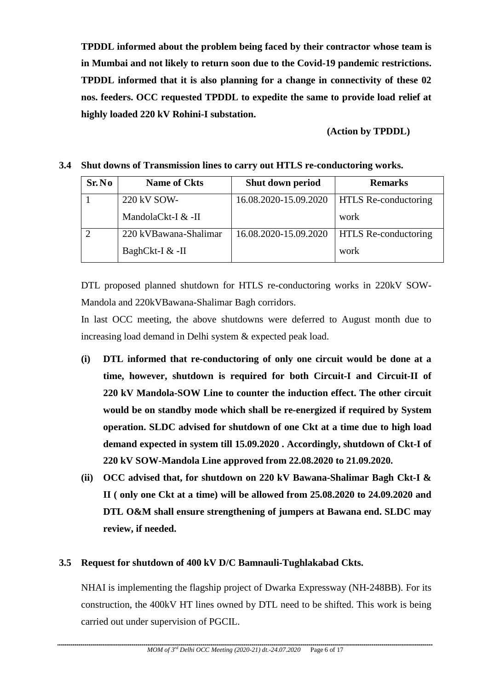**TPDDL informed about the problem being faced by their contractor whose team is in Mumbai and not likely to return soon due to the Covid-19 pandemic restrictions. TPDDL informed that it is also planning for a change in connectivity of these 02 nos. feeders. OCC requested TPDDL to expedite the same to provide load relief at highly loaded 220 kV Rohini-I substation.**

 **(Action by TPDDL)**

#### **3.4 Shut downs of Transmission lines to carry out HTLS re-conductoring works.**

| Sr. No                      | <b>Name of Ckts</b>   | Shut down period      | <b>Remarks</b>              |
|-----------------------------|-----------------------|-----------------------|-----------------------------|
|                             | 220 kV SOW-           | 16.08.2020-15.09.2020 | <b>HTLS</b> Re-conductoring |
|                             | MandolaCkt-I & -II    |                       | work                        |
| $\mathcal{D}_{\mathcal{L}}$ | 220 kVBawana-Shalimar | 16.08.2020-15.09.2020 | <b>HTLS Re-conductoring</b> |
|                             | BaghCkt-I & -II       |                       | work                        |

DTL proposed planned shutdown for HTLS re-conductoring works in 220kV SOW-Mandola and 220kVBawana-Shalimar Bagh corridors.

In last OCC meeting, the above shutdowns were deferred to August month due to increasing load demand in Delhi system & expected peak load.

- **(i) DTL informed that re-conductoring of only one circuit would be done at a time, however, shutdown is required for both Circuit-I and Circuit-II of 220 kV Mandola-SOW Line to counter the induction effect. The other circuit would be on standby mode which shall be re-energized if required by System operation. SLDC advised for shutdown of one Ckt at a time due to high load demand expected in system till 15.09.2020 . Accordingly, shutdown of Ckt-I of 220 kV SOW-Mandola Line approved from 22.08.2020 to 21.09.2020.**
- **(ii) OCC advised that, for shutdown on 220 kV Bawana-Shalimar Bagh Ckt-I & II ( only one Ckt at a time) will be allowed from 25.08.2020 to 24.09.2020 and DTL O&M shall ensure strengthening of jumpers at Bawana end. SLDC may review, if needed.**

# **3.5 Request for shutdown of 400 kV D/C Bamnauli-Tughlakabad Ckts.**

NHAI is implementing the flagship project of Dwarka Expressway (NH-248BB). For its construction, the 400kV HT lines owned by DTL need to be shifted. This work is being carried out under supervision of PGCIL.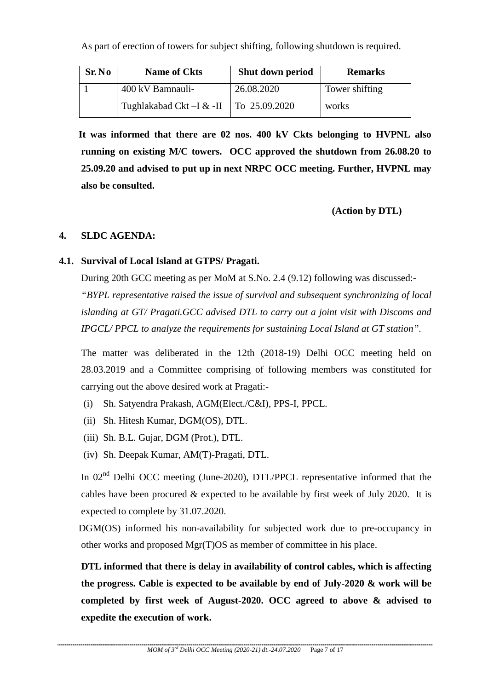As part of erection of towers for subject shifting, following shutdown is required.

| Sr.No | <b>Name of Ckts</b>      | Shut down period | <b>Remarks</b> |
|-------|--------------------------|------------------|----------------|
|       | 400 kV Bamnauli-         | 26.08.2020       | Tower shifting |
|       | Tughlakabad Ckt –I & -II | To 25.09.2020    | works          |

 **It was informed that there are 02 nos. 400 kV Ckts belonging to HVPNL also running on existing M/C towers. OCC approved the shutdown from 26.08.20 to 25.09.20 and advised to put up in next NRPC OCC meeting. Further, HVPNL may also be consulted.** 

 **(Action by DTL)**

# **4. SLDC AGENDA:**

# **4.1. Survival of Local Island at GTPS/ Pragati.**

During 20th GCC meeting as per MoM at S.No. 2.4 (9.12) following was discussed:- *"BYPL representative raised the issue of survival and subsequent synchronizing of local islanding at GT/ Pragati.GCC advised DTL to carry out a joint visit with Discoms and IPGCL/ PPCL to analyze the requirements for sustaining Local Island at GT station".* 

The matter was deliberated in the 12th (2018-19) Delhi OCC meeting held on 28.03.2019 and a Committee comprising of following members was constituted for carrying out the above desired work at Pragati:-

- (i) Sh. Satyendra Prakash, AGM(Elect./C&I), PPS-I, PPCL.
- (ii) Sh. Hitesh Kumar, DGM(OS), DTL.
- (iii) Sh. B.L. Gujar, DGM (Prot.), DTL.
- (iv) Sh. Deepak Kumar, AM(T)-Pragati, DTL.

In  $02<sup>nd</sup>$  Delhi OCC meeting (June-2020), DTL/PPCL representative informed that the cables have been procured  $&$  expected to be available by first week of July 2020. It is expected to complete by 31.07.2020.

 DGM(OS) informed his non-availability for subjected work due to pre-occupancy in other works and proposed Mgr(T)OS as member of committee in his place.

**DTL informed that there is delay in availability of control cables, which is affecting the progress. Cable is expected to be available by end of July-2020 & work will be completed by first week of August-2020. OCC agreed to above & advised to expedite the execution of work.**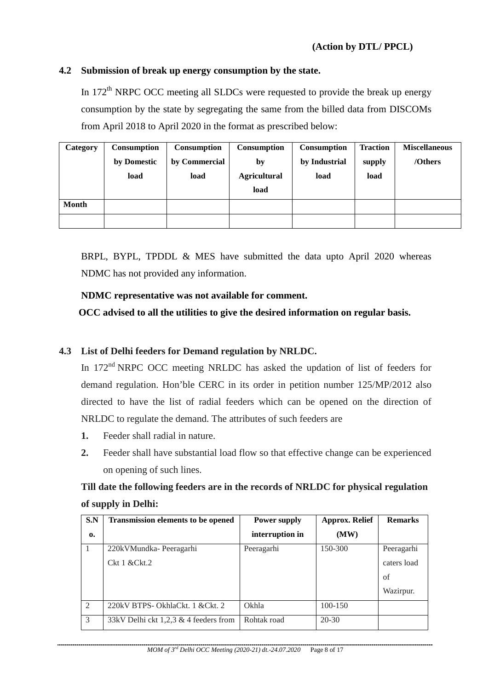#### **4.2 Submission of break up energy consumption by the state.**

In  $172<sup>th</sup>$  NRPC OCC meeting all SLDCs were requested to provide the break up energy consumption by the state by segregating the same from the billed data from DISCOMs from April 2018 to April 2020 in the format as prescribed below:

| Category     | Consumption | Consumption   | Consumption         | <b>Consumption</b> | <b>Traction</b> | <b>Miscellaneous</b> |
|--------------|-------------|---------------|---------------------|--------------------|-----------------|----------------------|
|              | by Domestic | by Commercial | by                  | by Industrial      | supply          | /Others              |
|              | load        | load          | <b>Agricultural</b> | load               | load            |                      |
|              |             |               | load                |                    |                 |                      |
| <b>Month</b> |             |               |                     |                    |                 |                      |
|              |             |               |                     |                    |                 |                      |

BRPL, BYPL, TPDDL & MES have submitted the data upto April 2020 whereas NDMC has not provided any information.

#### **NDMC representative was not available for comment.**

**OCC advised to all the utilities to give the desired information on regular basis.** 

# **4.3 List of Delhi feeders for Demand regulation by NRLDC.**

In 172<sup>nd</sup> NRPC OCC meeting NRLDC has asked the updation of list of feeders for demand regulation. Hon'ble CERC in its order in petition number 125/MP/2012 also directed to have the list of radial feeders which can be opened on the direction of NRLDC to regulate the demand. The attributes of such feeders are

- **1.** Feeder shall radial in nature.
- **2.** Feeder shall have substantial load flow so that effective change can be experienced on opening of such lines.

# **Till date the following feeders are in the records of NRLDC for physical regulation of supply in Delhi:**

| S.N           | <b>Transmission elements to be opened</b> | <b>Power supply</b> | <b>Approx. Relief</b> | <b>Remarks</b> |
|---------------|-------------------------------------------|---------------------|-----------------------|----------------|
| $\mathbf{0}$  |                                           | interruption in     | (MW)                  |                |
|               | 220kVMundka-Peeragarhi                    | Peeragarhi          | 150-300               | Peeragarhi     |
|               | Ckt1 &cCkt.2                              |                     |                       | caters load    |
|               |                                           |                     |                       | of             |
|               |                                           |                     |                       | Wazirpur.      |
| $\mathcal{L}$ | 220kV BTPS- OkhlaCkt. 1 & Ckt. 2          | Okhla               | 100-150               |                |
| $\mathcal{R}$ | $33kV$ Delhi ckt 1,2,3 & 4 feeders from   | Rohtak road         | $20 - 30$             |                |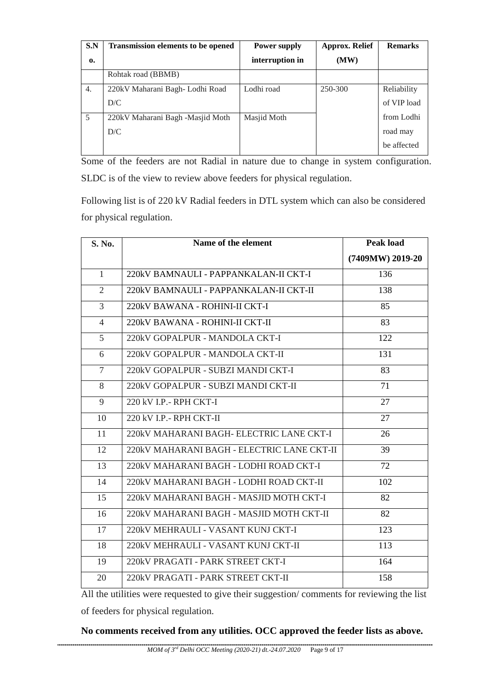| S.N<br>$\mathbf{0}$ | <b>Transmission elements to be opened</b> | Power supply<br>interruption in | <b>Approx. Relief</b><br>(MW) | <b>Remarks</b> |
|---------------------|-------------------------------------------|---------------------------------|-------------------------------|----------------|
|                     | Rohtak road (BBMB)                        |                                 |                               |                |
| 4.                  | 220kV Maharani Bagh- Lodhi Road           | Lodhi road                      | 250-300                       | Reliability    |
|                     | D/C                                       |                                 |                               | of VIP load    |
| 5                   | 220kV Maharani Bagh -Masjid Moth          | Masjid Moth                     |                               | from Lodhi     |
|                     | D/C                                       |                                 |                               | road may       |
|                     |                                           |                                 |                               | be affected    |

Some of the feeders are not Radial in nature due to change in system configuration. SLDC is of the view to review above feeders for physical regulation.

Following list is of 220 kV Radial feeders in DTL system which can also be considered for physical regulation.

| S. No.         | Name of the element                        | Peak load        |
|----------------|--------------------------------------------|------------------|
|                |                                            | (7409MW) 2019-20 |
| $\mathbf{1}$   | 220kV BAMNAULI - PAPPANKALAN-II CKT-I      | 136              |
| $\overline{2}$ | 220kV BAMNAULI - PAPPANKALAN-II CKT-II     | 138              |
| 3              | 220kV BAWANA - ROHINI-II CKT-I             | 85               |
| 4              | 220kV BAWANA - ROHINI-II CKT-II            | 83               |
| 5              | 220kV GOPALPUR - MANDOLA CKT-I             | 122              |
| 6              | 220kV GOPALPUR - MANDOLA CKT-II            | 131              |
| $\tau$         | 220kV GOPALPUR - SUBZI MANDI CKT-I         | 83               |
| 8              | 220kV GOPALPUR - SUBZI MANDI CKT-II        | 71               |
| 9              | 220 kV I.P. - RPH CKT-I                    | 27               |
| 10             | 220 kV I.P.- RPH CKT-II                    | 27               |
| 11             | 220kV MAHARANI BAGH- ELECTRIC LANE CKT-I   | 26               |
| 12             | 220kV MAHARANI BAGH - ELECTRIC LANE CKT-II | 39               |
| 13             | 220kV MAHARANI BAGH - LODHI ROAD CKT-I     | 72               |
| 14             | 220kV MAHARANI BAGH - LODHI ROAD CKT-II    | 102              |
| 15             | 220kV MAHARANI BAGH - MASJID MOTH CKT-I    | 82               |
| 16             | 220kV MAHARANI BAGH - MASJID MOTH CKT-II   | 82               |
| 17             | 220kV MEHRAULI - VASANT KUNJ CKT-I         | 123              |
| 18             | 220kV MEHRAULI - VASANT KUNJ CKT-II        | 113              |
| 19             | 220kV PRAGATI - PARK STREET CKT-I          | 164              |
| 20             | 220kV PRAGATI - PARK STREET CKT-II         | 158              |

All the utilities were requested to give their suggestion/ comments for reviewing the list of feeders for physical regulation.

# **No comments received from any utilities. OCC approved the feeder lists as above.**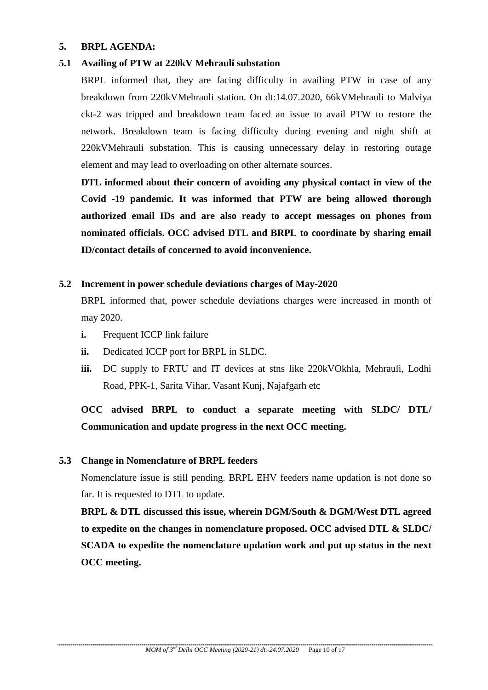#### **5. BRPL AGENDA:**

#### **5.1 Availing of PTW at 220kV Mehrauli substation**

BRPL informed that, they are facing difficulty in availing PTW in case of any breakdown from 220kVMehrauli station. On dt:14.07.2020, 66kVMehrauli to Malviya ckt-2 was tripped and breakdown team faced an issue to avail PTW to restore the network. Breakdown team is facing difficulty during evening and night shift at 220kVMehrauli substation. This is causing unnecessary delay in restoring outage element and may lead to overloading on other alternate sources.

**DTL informed about their concern of avoiding any physical contact in view of the Covid -19 pandemic. It was informed that PTW are being allowed thorough authorized email IDs and are also ready to accept messages on phones from nominated officials. OCC advised DTL and BRPL to coordinate by sharing email ID/contact details of concerned to avoid inconvenience.**

#### **5.2 Increment in power schedule deviations charges of May-2020**

BRPL informed that, power schedule deviations charges were increased in month of may 2020.

- **i.** Frequent ICCP link failure
- **ii.** Dedicated ICCP port for BRPL in SLDC.
- **iii.** DC supply to FRTU and IT devices at stns like 220kVOkhla, Mehrauli, Lodhi Road, PPK-1, Sarita Vihar, Vasant Kunj, Najafgarh etc

# **OCC advised BRPL to conduct a separate meeting with SLDC/ DTL/ Communication and update progress in the next OCC meeting.**

#### **5.3 Change in Nomenclature of BRPL feeders**

Nomenclature issue is still pending. BRPL EHV feeders name updation is not done so far. It is requested to DTL to update.

**BRPL & DTL discussed this issue, wherein DGM/South & DGM/West DTL agreed to expedite on the changes in nomenclature proposed. OCC advised DTL & SLDC/ SCADA to expedite the nomenclature updation work and put up status in the next OCC meeting.**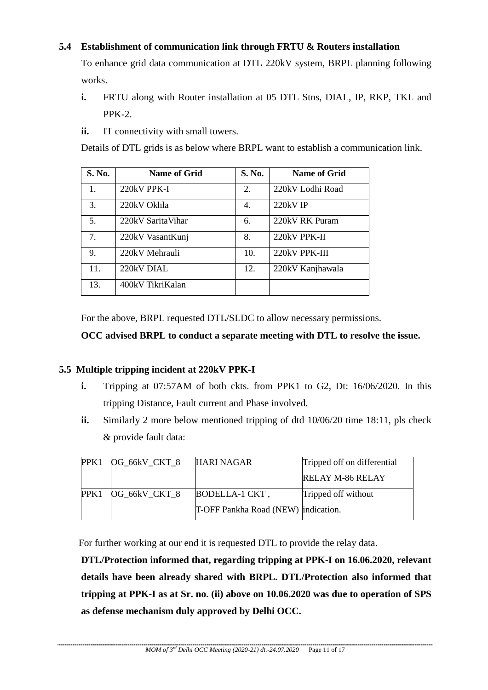# **5.4 Establishment of communication link through FRTU & Routers installation**

To enhance grid data communication at DTL 220kV system, BRPL planning following works.

- **i.** FRTU along with Router installation at 05 DTL Stns, DIAL, IP, RKP, TKL and PPK-2.
- **ii.** IT connectivity with small towers.

Details of DTL grids is as below where BRPL want to establish a communication link.

| S. No. | <b>Name of Grid</b> | S. No. | Name of Grid     |
|--------|---------------------|--------|------------------|
| 1.     | 220kV PPK-I         | 2.     | 220kV Lodhi Road |
| 3.     | 220kV Okhla         | 4.     | $220kV$ IP       |
| 5.     | 220kV SaritaVihar   | 6.     | 220kV RK Puram   |
| 7.     | 220kV VasantKunj    | 8.     | 220kV PPK-II     |
| 9.     | 220kV Mehrauli      | 10.    | 220kV PPK-III    |
| 11.    | $220kV$ DIAL        | 12.    | 220kV Kanjhawala |
| 13.    | 400kV TikriKalan    |        |                  |

For the above, BRPL requested DTL/SLDC to allow necessary permissions.

# **OCC advised BRPL to conduct a separate meeting with DTL to resolve the issue.**

# **5.5 Multiple tripping incident at 220kV PPK-I**

- **i.** Tripping at 07:57AM of both ckts. from PPK1 to G2, Dt: 16/06/2020. In this tripping Distance, Fault current and Phase involved.
- **ii.** Similarly 2 more below mentioned tripping of dtd 10/06/20 time 18:11, pls check & provide fault data:

| PPK1 | OG_66kV_CKT_8 | HARI NAGAR                          | Tripped off on differential |
|------|---------------|-------------------------------------|-----------------------------|
|      |               |                                     | <b>RELAY M-86 RELAY</b>     |
| PPK1 | OG 66kV CKT 8 | BODELLA-1 CKT,                      | Tripped off without         |
|      |               | T-OFF Pankha Road (NEW) indication. |                             |

For further working at our end it is requested DTL to provide the relay data.

**DTL/Protection informed that, regarding tripping at PPK-I on 16.06.2020, relevant details have been already shared with BRPL. DTL/Protection also informed that tripping at PPK-I as at Sr. no. (ii) above on 10.06.2020 was due to operation of SPS as defense mechanism duly approved by Delhi OCC.**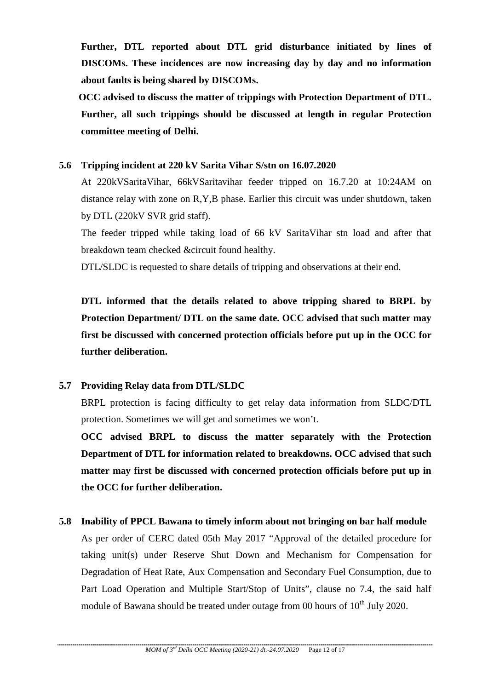**Further, DTL reported about DTL grid disturbance initiated by lines of DISCOMs. These incidences are now increasing day by day and no information about faults is being shared by DISCOMs.**

 **OCC advised to discuss the matter of trippings with Protection Department of DTL. Further, all such trippings should be discussed at length in regular Protection committee meeting of Delhi.**

#### **5.6 Tripping incident at 220 kV Sarita Vihar S/stn on 16.07.2020**

At 220kVSaritaVihar, 66kVSaritavihar feeder tripped on 16.7.20 at 10:24AM on distance relay with zone on R,Y,B phase. Earlier this circuit was under shutdown, taken by DTL (220kV SVR grid staff).

The feeder tripped while taking load of 66 kV SaritaVihar stn load and after that breakdown team checked &circuit found healthy.

DTL/SLDC is requested to share details of tripping and observations at their end.

**DTL informed that the details related to above tripping shared to BRPL by Protection Department/ DTL on the same date. OCC advised that such matter may first be discussed with concerned protection officials before put up in the OCC for further deliberation.**

# **5.7 Providing Relay data from DTL/SLDC**

BRPL protection is facing difficulty to get relay data information from SLDC/DTL protection. Sometimes we will get and sometimes we won't.

**OCC advised BRPL to discuss the matter separately with the Protection Department of DTL for information related to breakdowns. OCC advised that such matter may first be discussed with concerned protection officials before put up in the OCC for further deliberation.**

# **5.8 Inability of PPCL Bawana to timely inform about not bringing on bar half module**

As per order of CERC dated 05th May 2017 "Approval of the detailed procedure for taking unit(s) under Reserve Shut Down and Mechanism for Compensation for Degradation of Heat Rate, Aux Compensation and Secondary Fuel Consumption, due to Part Load Operation and Multiple Start/Stop of Units", clause no 7.4, the said half module of Bawana should be treated under outage from 00 hours of  $10<sup>th</sup>$  July 2020.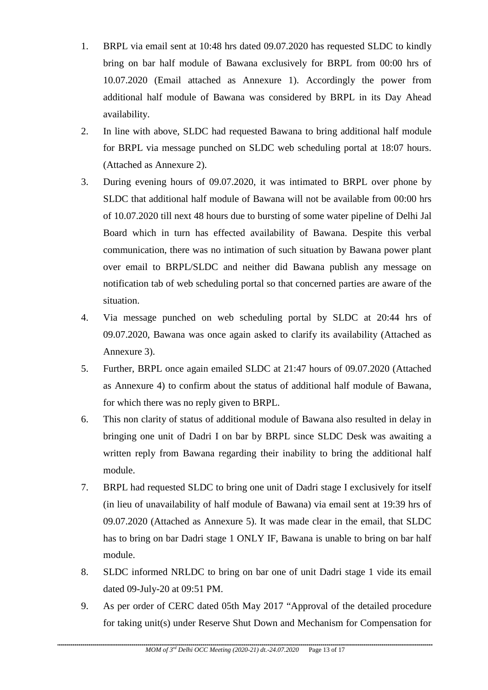- 1. BRPL via email sent at 10:48 hrs dated 09.07.2020 has requested SLDC to kindly bring on bar half module of Bawana exclusively for BRPL from 00:00 hrs of 10.07.2020 (Email attached as Annexure 1). Accordingly the power from additional half module of Bawana was considered by BRPL in its Day Ahead availability.
- 2. In line with above, SLDC had requested Bawana to bring additional half module for BRPL via message punched on SLDC web scheduling portal at 18:07 hours. (Attached as Annexure 2).
- 3. During evening hours of 09.07.2020, it was intimated to BRPL over phone by SLDC that additional half module of Bawana will not be available from 00:00 hrs of 10.07.2020 till next 48 hours due to bursting of some water pipeline of Delhi Jal Board which in turn has effected availability of Bawana. Despite this verbal communication, there was no intimation of such situation by Bawana power plant over email to BRPL/SLDC and neither did Bawana publish any message on notification tab of web scheduling portal so that concerned parties are aware of the situation.
- 4. Via message punched on web scheduling portal by SLDC at 20:44 hrs of 09.07.2020, Bawana was once again asked to clarify its availability (Attached as Annexure 3).
- 5. Further, BRPL once again emailed SLDC at 21:47 hours of 09.07.2020 (Attached as Annexure 4) to confirm about the status of additional half module of Bawana, for which there was no reply given to BRPL.
- 6. This non clarity of status of additional module of Bawana also resulted in delay in bringing one unit of Dadri I on bar by BRPL since SLDC Desk was awaiting a written reply from Bawana regarding their inability to bring the additional half module.
- 7. BRPL had requested SLDC to bring one unit of Dadri stage I exclusively for itself (in lieu of unavailability of half module of Bawana) via email sent at 19:39 hrs of 09.07.2020 (Attached as Annexure 5). It was made clear in the email, that SLDC has to bring on bar Dadri stage 1 ONLY IF, Bawana is unable to bring on bar half module.
- 8. SLDC informed NRLDC to bring on bar one of unit Dadri stage 1 vide its email dated 09-July-20 at 09:51 PM.
- 9. As per order of CERC dated 05th May 2017 "Approval of the detailed procedure for taking unit(s) under Reserve Shut Down and Mechanism for Compensation for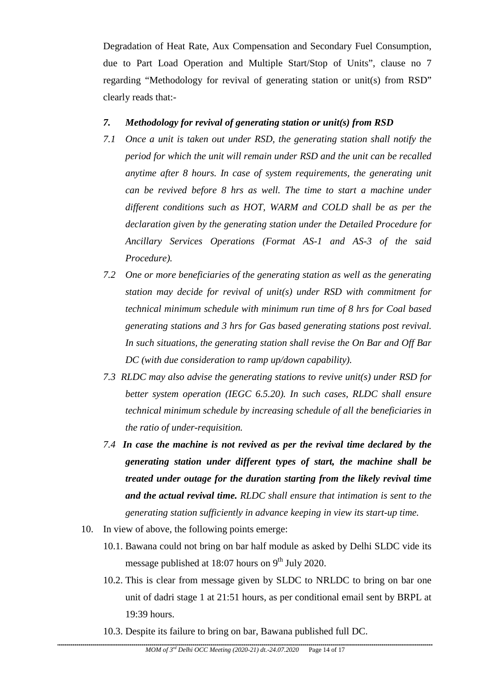Degradation of Heat Rate, Aux Compensation and Secondary Fuel Consumption, due to Part Load Operation and Multiple Start/Stop of Units", clause no 7 regarding "Methodology for revival of generating station or unit(s) from RSD" clearly reads that:-

#### *7. Methodology for revival of generating station or unit(s) from RSD*

- *7.1 Once a unit is taken out under RSD, the generating station shall notify the period for which the unit will remain under RSD and the unit can be recalled anytime after 8 hours. In case of system requirements, the generating unit can be revived before 8 hrs as well. The time to start a machine under different conditions such as HOT, WARM and COLD shall be as per the declaration given by the generating station under the Detailed Procedure for Ancillary Services Operations (Format AS-1 and AS-3 of the said Procedure).*
- *7.2 One or more beneficiaries of the generating station as well as the generating station may decide for revival of unit(s) under RSD with commitment for technical minimum schedule with minimum run time of 8 hrs for Coal based generating stations and 3 hrs for Gas based generating stations post revival. In such situations, the generating station shall revise the On Bar and Off Bar DC (with due consideration to ramp up/down capability).*
- *7.3 RLDC may also advise the generating stations to revive unit(s) under RSD for better system operation (IEGC 6.5.20). In such cases, RLDC shall ensure technical minimum schedule by increasing schedule of all the beneficiaries in the ratio of under-requisition.*
- *7.4 In case the machine is not revived as per the revival time declared by the generating station under different types of start, the machine shall be treated under outage for the duration starting from the likely revival time and the actual revival time. RLDC shall ensure that intimation is sent to the generating station sufficiently in advance keeping in view its start-up time.*
- 10. In view of above, the following points emerge:
	- 10.1. Bawana could not bring on bar half module as asked by Delhi SLDC vide its message published at 18:07 hours on  $9<sup>th</sup>$  July 2020.
	- 10.2. This is clear from message given by SLDC to NRLDC to bring on bar one unit of dadri stage 1 at 21:51 hours, as per conditional email sent by BRPL at 19:39 hours.
	- 10.3. Despite its failure to bring on bar, Bawana published full DC.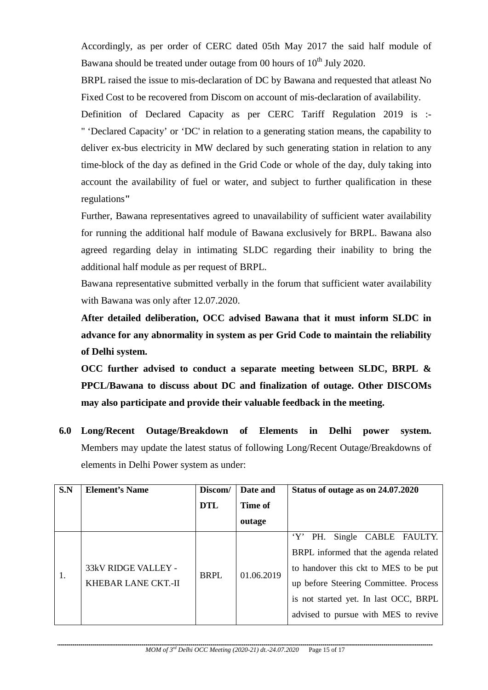Accordingly, as per order of CERC dated 05th May 2017 the said half module of Bawana should be treated under outage from 00 hours of  $10<sup>th</sup>$  July 2020.

BRPL raised the issue to mis-declaration of DC by Bawana and requested that atleast No Fixed Cost to be recovered from Discom on account of mis-declaration of availability.

Definition of Declared Capacity as per CERC Tariff Regulation 2019 is :- " 'Declared Capacity' or 'DC' in relation to a generating station means, the capability to deliver ex-bus electricity in MW declared by such generating station in relation to any time-block of the day as defined in the Grid Code or whole of the day, duly taking into account the availability of fuel or water, and subject to further qualification in these regulations**"**

Further, Bawana representatives agreed to unavailability of sufficient water availability for running the additional half module of Bawana exclusively for BRPL. Bawana also agreed regarding delay in intimating SLDC regarding their inability to bring the additional half module as per request of BRPL.

Bawana representative submitted verbally in the forum that sufficient water availability with Bawana was only after 12.07.2020.

**After detailed deliberation, OCC advised Bawana that it must inform SLDC in advance for any abnormality in system as per Grid Code to maintain the reliability of Delhi system.**

**OCC further advised to conduct a separate meeting between SLDC, BRPL & PPCL/Bawana to discuss about DC and finalization of outage. Other DISCOMs may also participate and provide their valuable feedback in the meeting.**

**6.0 Long/Recent Outage/Breakdown of Elements in Delhi power system.**  Members may update the latest status of following Long/Recent Outage/Breakdowns of elements in Delhi Power system as under:

| S.N | <b>Element's Name</b>                      | Discom/     | Date and   | Status of outage as on 24.07.2020                                              |
|-----|--------------------------------------------|-------------|------------|--------------------------------------------------------------------------------|
|     |                                            | <b>DTL</b>  | Time of    |                                                                                |
|     |                                            |             | outage     |                                                                                |
|     |                                            |             |            | $Y'$ PH.<br>Single CABLE FAULTY.                                               |
|     | 33kV RIDGE VALLEY -<br>KHEBAR LANE CKT.-II | <b>BRPL</b> | 01.06.2019 | BRPL informed that the agenda related<br>to handover this ckt to MES to be put |
|     |                                            |             |            | up before Steering Committee. Process                                          |
|     |                                            |             |            | is not started yet. In last OCC, BRPL                                          |
|     |                                            |             |            | advised to pursue with MES to revive                                           |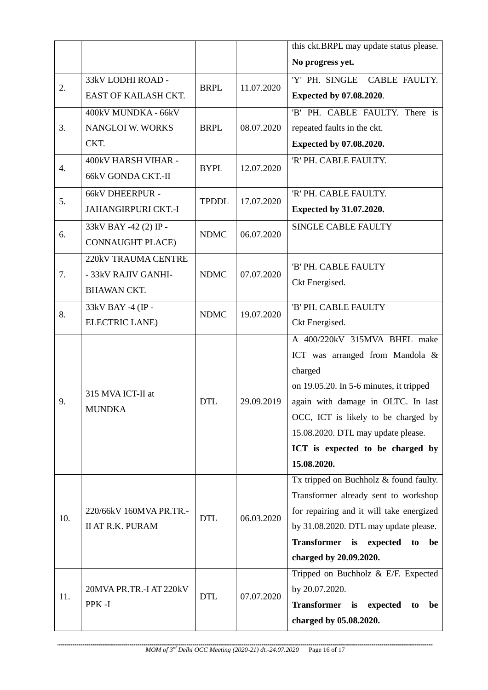|     |                                                    |              |            | this ckt.BRPL may update status please.      |
|-----|----------------------------------------------------|--------------|------------|----------------------------------------------|
|     |                                                    |              |            | No progress yet.                             |
| 2.  | 33kV LODHI ROAD -                                  | <b>BRPL</b>  | 11.07.2020 | 'Y' PH. SINGLE<br>CABLE FAULTY.              |
|     | EAST OF KAILASH CKT.                               |              |            | Expected by 07.08.2020.                      |
|     | 400kV MUNDKA - 66kV                                |              |            | 'B' PH. CABLE FAULTY. There is               |
| 3.  | <b>NANGLOI W. WORKS</b>                            | <b>BRPL</b>  | 08.07.2020 | repeated faults in the ckt.                  |
|     | CKT.                                               |              |            | Expected by 07.08.2020.                      |
| 4.  | 400kV HARSH VIHAR -                                | <b>BYPL</b>  |            | 'R' PH. CABLE FAULTY.                        |
|     | 66kV GONDA CKT.-II                                 |              | 12.07.2020 |                                              |
| 5.  | 66kV DHEERPUR -                                    | <b>TPDDL</b> | 17.07.2020 | 'R' PH. CABLE FAULTY.                        |
|     | <b>JAHANGIRPURI CKT.-I</b>                         |              |            | Expected by 31.07.2020.                      |
| 6.  | 33kV BAY -42 (2) IP -                              | <b>NDMC</b>  | 06.07.2020 | <b>SINGLE CABLE FAULTY</b>                   |
|     | <b>CONNAUGHT PLACE)</b>                            |              |            |                                              |
|     | 220kV TRAUMA CENTRE                                |              |            |                                              |
| 7.  | - 33kV RAJIV GANHI-                                | <b>NDMC</b>  | 07.07.2020 | 'B' PH. CABLE FAULTY                         |
|     | <b>BHAWAN CKT.</b>                                 |              |            | Ckt Energised.                               |
| 8.  | 33kV BAY -4 (IP -                                  | <b>NDMC</b>  | 19.07.2020 | 'B' PH. CABLE FAULTY                         |
|     | <b>ELECTRIC LANE)</b>                              |              |            | Ckt Energised.                               |
| 9.  | 315 MVA ICT-II at<br><b>MUNDKA</b>                 | <b>DTL</b>   | 29.09.2019 | A 400/220kV 315MVA BHEL make                 |
|     |                                                    |              |            | ICT was arranged from Mandola &              |
|     |                                                    |              |            | charged                                      |
|     |                                                    |              |            | on 19.05.20. In 5-6 minutes, it tripped      |
|     |                                                    |              |            | again with damage in OLTC. In last           |
|     |                                                    |              |            | OCC, ICT is likely to be charged by          |
|     |                                                    |              |            | 15.08.2020. DTL may update please.           |
|     |                                                    |              |            | ICT is expected to be charged by             |
|     |                                                    |              |            | 15.08.2020.                                  |
| 10. | 220/66kV 160MVA PR.TR.-<br><b>II AT R.K. PURAM</b> | <b>DTL</b>   | 06.03.2020 | Tx tripped on Buchholz & found faulty.       |
|     |                                                    |              |            | Transformer already sent to workshop         |
|     |                                                    |              |            | for repairing and it will take energized     |
|     |                                                    |              |            | by 31.08.2020. DTL may update please.        |
|     |                                                    |              |            | Transformer is expected<br>be<br>to          |
|     |                                                    |              |            | charged by 20.09.2020.                       |
| 11. | 20MVA PR.TR.-I AT 220kV<br>PPK-I                   | <b>DTL</b>   | 07.07.2020 | Tripped on Buchholz $& \text{E/F. Expected}$ |
|     |                                                    |              |            | by 20.07.2020.                               |
|     |                                                    |              |            | Transformer is expected<br>be<br>to          |
|     |                                                    |              |            | charged by 05.08.2020.                       |